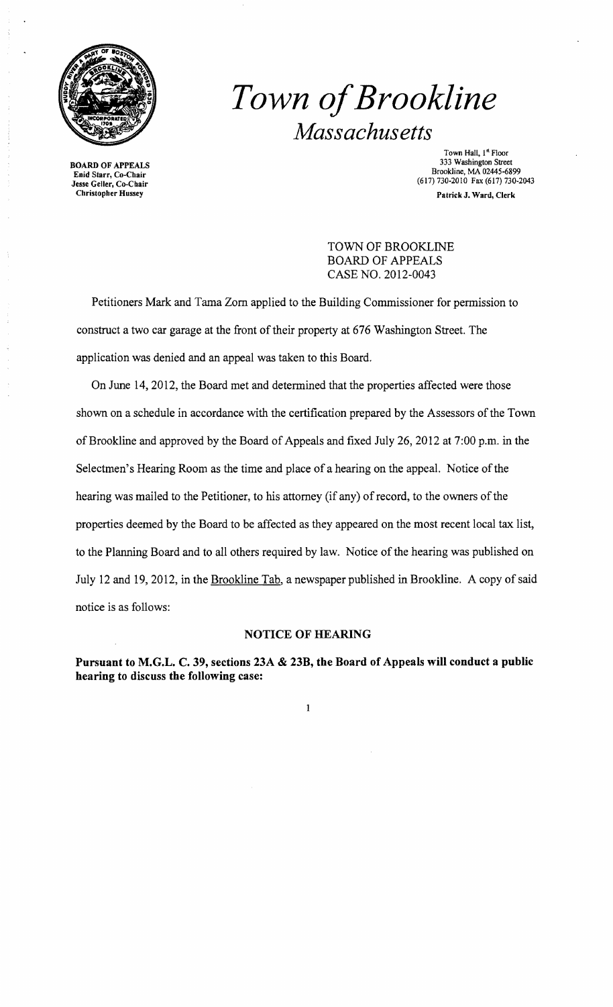

# *Town ofBrookline Massachusetts*

Town Hall,  $1<sup>st</sup>$  Floor 333 Washington Street **333 Washington Street Brookline, MA 02445-6899**<br> **333 Washington Street** Brookline, MA 02445-6899<br> **333 Washington Street** Brookline, MA 02445-6899<br> **333 Washington Street** Brookline, MA 02445-6899<br> **Enid Starr, Co-Chair** (617) 730-2010 Fax (617) 730-2043 Christopher Hussey Patrick J. Ward, Clerk

> TOWN OF BROOKLINE BOARD OF APPEALS CASE NO. 2012-0043

Petitioners Mark and Tama Zorn applied to the Building Commissioner for permission to construct a two car garage at the front of their property at 676 Washington Street. The application was denied and an appeal was taken to this Board.

On June 14, 2012, the Board met and determined that the properties affected were those shown on a schedule in accordance with the certification prepared by the Assessors of the Town of Brookline and approved by the Board of Appeals and fixed July 26, 2012 at 7:00 p.m. in the Selectmen's Hearing Room as the time and place of a hearing on the appeal. Notice of the hearing was mailed to the Petitioner, to his attorney (if any) of record, to the owners of the properties deemed by the Board to be affected as they appeared on the most recent local tax list, to the Planning Board and to all others required by law. Notice of the hearing was published on July 12 and 19, 2012, in the Brookline Tab, a newspaper published in Brookline. A copy of said notice is as follows:

#### NOTICE OF HEARING

Pursuant to M.G.L. C. 39, sections 23A & 23B, the Board of Appeals will conduct a public hearing to discuss the following case: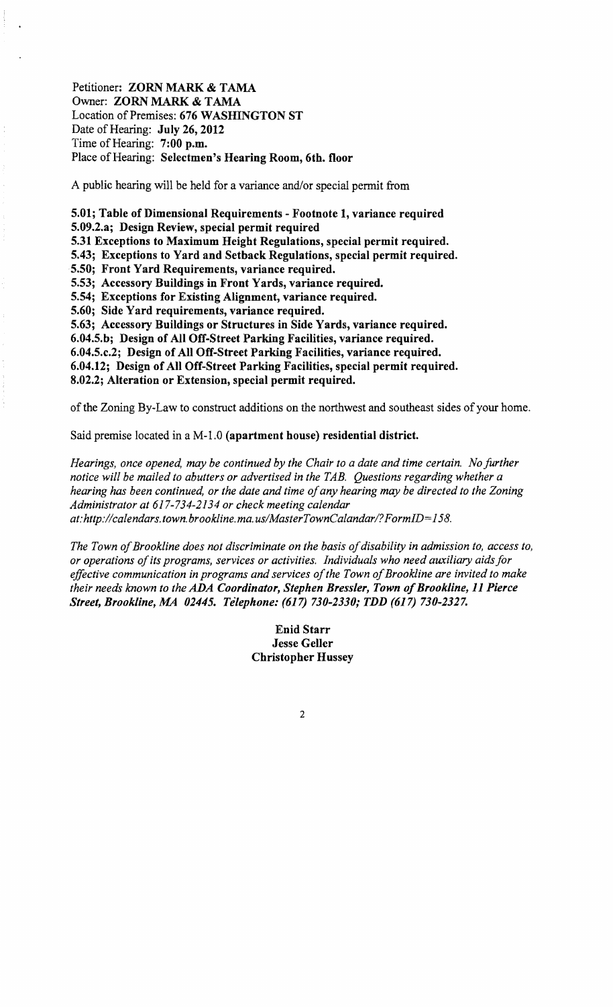Petitioner: ZORN MARK & TAMA Owner: ZORN MARK & TAMA Location of Premises: 676 WASHINGTON ST Date of Hearing; July 26, 2012 Time of Hearing: 7:00 p.m. Place of Hearing: Selectmen's Hearing Room, 6th. floor

A public hearing will be held for a variance and/or special permit from

5.01; Table of Dimensional Requirements - Footnote 1, variance required 5.09.2.a; Design Review, special permit required

5.31 Exceptions to Maximum Height Regulations, special permit required.

5.43; Exceptions to Yard and Setback Regulations, special permit required.

5.50; Front Yard Requirements, variance required.

5.53; Accessory Buildings in Front Yards, variance required.

5.54; Exceptions for Existing Alignment, variance required.

5.60; Side Yard requirements, variance required.

5.63; Accessory Buildings or Structures in Side Yards, variance required.

6.04.5.b; Design of All Off-Street Parking Facilities, variance required.

6.04.5.c.2; Design of All Off-Street Parking Facilities, variance required.

6.04.12; Design of All Off-Street Parking Facilities, special permit required.

8.02.2; Alteration or Extension, special permit required.

of the Zoning By-Law to construct additions on the northwest and southeast sides of your home.

Said premise located in a M-l.O (apartment house) residential district.

*Hearings, once opened, may be continued by the Chair to a date and time certain. No further notice will be mailed to abutters or advertised in the TAB. Questions regarding whether a hearing has been continued, or the date and time ofany hearing may be directed to the Zoning Administrator at* 617-734-2134 *or check meeting calendar at: http://calendars.town.brookline.ma.usIMasterTownCalandarl? F ormID= 158.* 

The Town of Brookline does not discriminate on the basis of disability in admission to, access to, *or operations ofits programs, services or activities. Individuals who need auxiliary aids for*  effective communication in programs and services of the Town of Brookline are invited to make *their needs known to the* ADA *Coordinator, Stephen Bress/er, Town ofBrookline,* 11 *Pierce Street, Brookline, MA 02445. Telephone:* (617) *730-2330; TDD* (617) *730-2327.* 

> Enid Starr Jesse Geller Christopher Hussey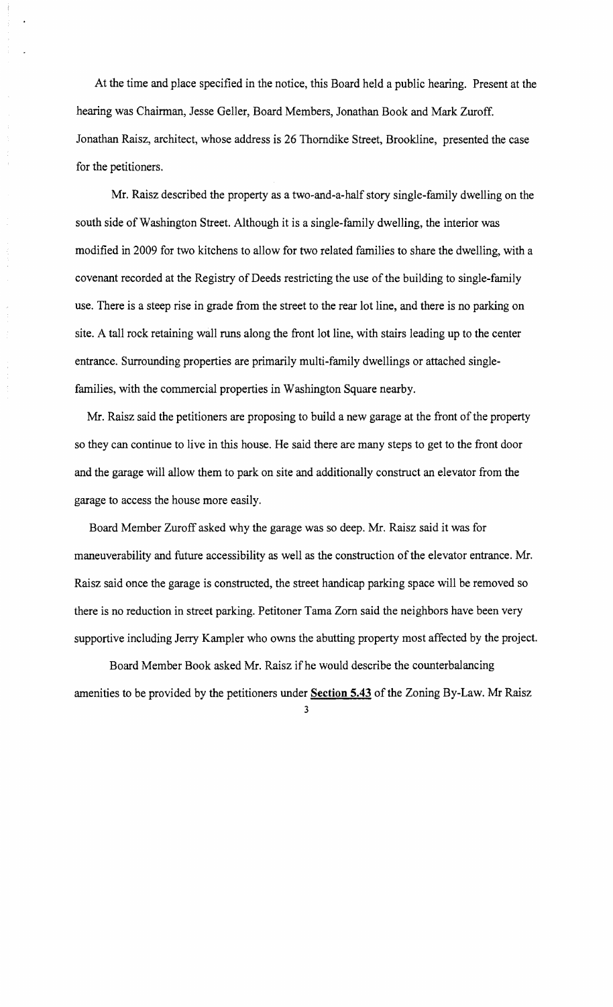At the time and place specified in the notice, this Board held a public hearing. Present at the hearing was Chairman, Jesse Geller, Board Members, Jonathan Book and Mark Zuroff. Jonathan Raisz, architect, whose address is 26 Thorndike Street, Brookline, presented the case for the petitioners.

Mr. Raisz described the property as a two-and-a-half story single-family dwelling on the south side of Washington Street. Although it is a single-family dwelling, the interior was modified in 2009 for two kitchens to allow for two related families to share the dwelling, with a covenant recorded at the Registry of Deeds restricting the use of the building to single-family use. There is a steep rise in grade from the street to the rear lot line, and there is no parking on site. A tall rock retaining wall runs along the front lot line, with stairs leading up to the center entrance. Surrounding properties are primarily multi-family dwellings or attached singlefamilies, with the commercial properties in Washington Square nearby.

Mr. Raisz said the petitioners are proposing to build a new garage at the front of the property so they can continue to live in this house. He said there are many steps to get to the front door and the garage will allow them to park on site and additionally construct an elevator from the garage to access the house more easily.

Board Member Zuroff asked why the garage was so deep. Mr. Raisz said it was for maneuverability and future accessibility as well as the construction of the elevator entrance. Mr. Raisz said once the garage is constructed, the street handicap parking space will be removed so there is no reduction in street parking. Petitoner Tama Zorn said the neighbors have been very supportive including Jerry Kampler who owns the abutting property most affected by the project.

Board Member Book asked Mr. Raisz if he would describe the counterbalancing amenities to be provided by the petitioners under Section 5.43 of the Zoning By-Law. Mr Raisz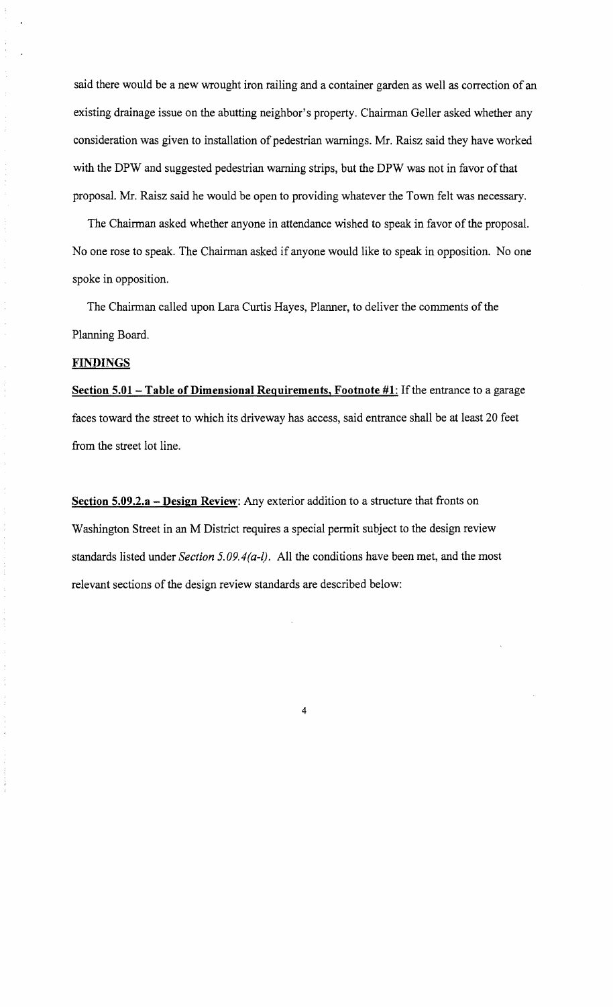said there would be a new wrought iron railing and a container garden as well as correction of an existing drainage issue on the abutting neighbor's property. Chairman Geller asked whether any consideration was given to installation of pedestrian warnings. Mr. Raisz said they have worked with the DPW and suggested pedestrian warning strips, but the DPW was not in favor of that proposal. Mr. Raisz said he would be open to providing whatever the Town felt was necessary.

The Chairman asked whether anyone in attendance wished to speak in favor of the proposal. No one rose to speak. The Chairman asked if anyone would like to speak in opposition. No one spoke in opposition.

The Chairman called upon Lara Curtis Hayes, Planner, to deliver the comments of the Planning Board.

#### **FINDINGS**

**Section 5.01 - Table of Dimensional Requirements, Footnote #1:** If the entrance to a garage faces toward the street to which its driveway has access, said entrance shall be at least 20 feet from the street lot line.

**Section 5.09.2.8 - Design Review:** Any exterior addition to a structure that fronts on Washington Street in an M District requires a special permit subject to the design review standards listed under *Section 5.09.4(a-l).* All the conditions have been met, and the most relevant sections of the design review standards are described below: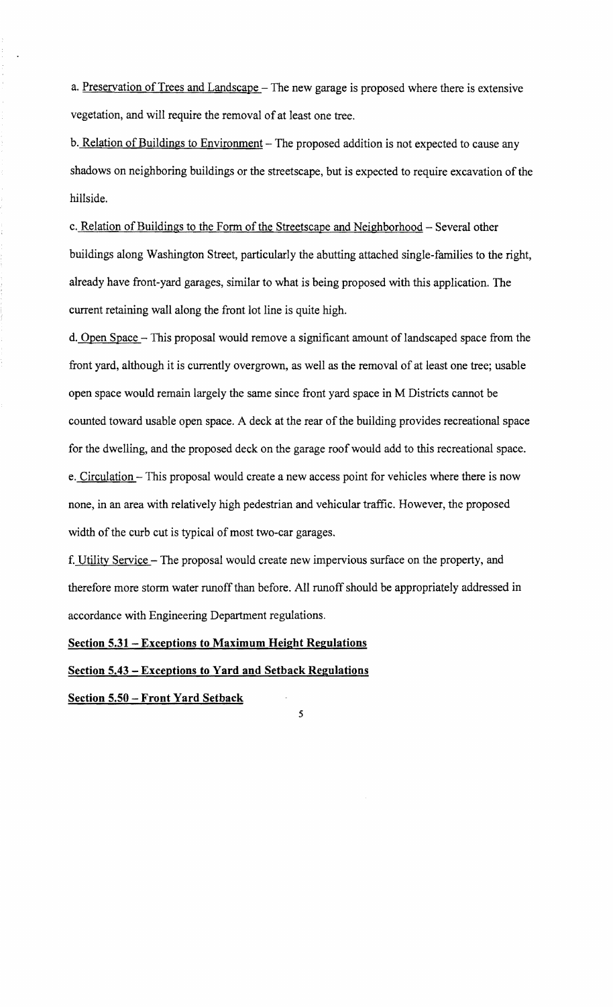a. Preservation of Trees and Landscape - The new garage is proposed where there is extensive vegetation, and will require the removal of at least one tree.

b. Relation of Buildings to Environment - The proposed addition is not expected to cause any shadows on neighboring buildings or the streetscape, but is expected to require excavation of the hillside.

c. Relation of Buildings to the Form of the Streetscape and Neighborhood - Several other buildings along Washington Street, particularly the abutting attached single-families to the right, already have front-yard garages, similar to what is being proposed with this application. The current retaining wall along the front lot line is quite high.

d. Open Space - This proposal would remove a significant amount of landscaped space from the front yard, although it is currently overgrown, as well as the removal of at least one tree; usable open space would remain largely the same since front yard space in M Districts cannot be counted toward usable open space. A deck at the rear of the building provides recreational space for the dwelling, and the proposed deck on the garage roof would add to this recreational space. e. Circulation - This proposal would create a new access point for vehicles where there is now none, in an area with relatively high pedestrian and vehicular traffic. However, the proposed width of the curb cut is typical of most two-car garages.

f. Utility Service - The proposal would create new impervious surface on the property, and therefore more storm water runoff than before. All runoff should be appropriately addressed in accordance with Engineering Department regulations.

**Section 5.31- Exceptions to Maximum Height Regulations** 

**Section 5.43 - Exceptions to Yard and Setback Regulations** 

**Section 5.50 - Front Yard Setback**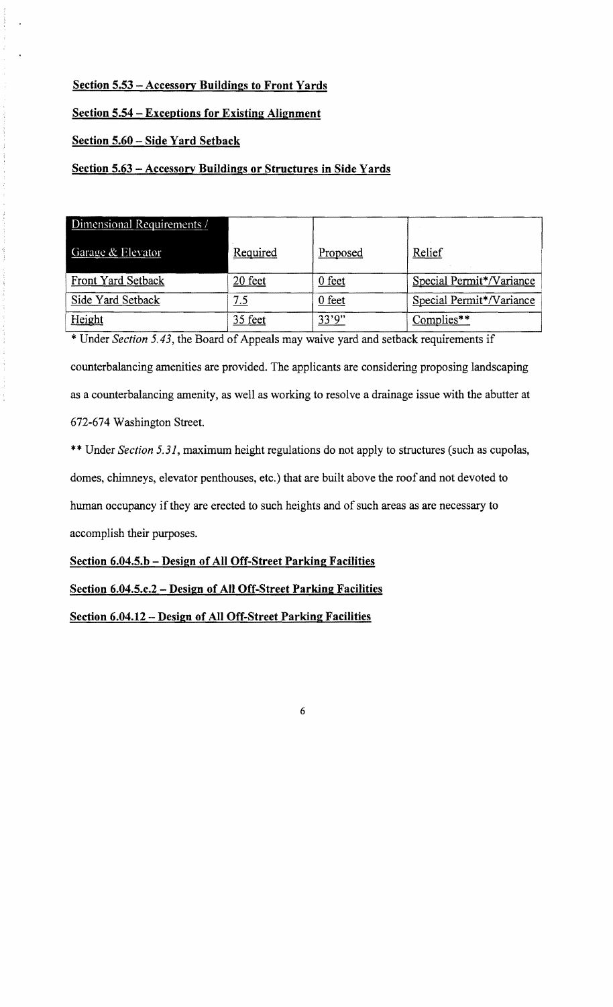## Section 5.53 - Accessory Buildings to Front Yards

### Section 5.54 - Exceptions for Existing Alignment

### Section 5.60 - Side Yard Setback

### Section 5.63 - Accessory Buildings or Structures in Side Yards

| Section 5.60 – Side Yard Setback                               |          |          |                          |  |  |  |
|----------------------------------------------------------------|----------|----------|--------------------------|--|--|--|
| Section 5.63 – Accessory Buildings or Structures in Side Yards |          |          |                          |  |  |  |
|                                                                |          |          |                          |  |  |  |
| Dimensional Requirements /                                     |          |          |                          |  |  |  |
| Garage & Elevator                                              | Required | Proposed | Relief                   |  |  |  |
| Front Yard Setback                                             | 20 feet  | $0$ feet | Special Permit*/Variance |  |  |  |
| Side Yard Setback                                              | 7.5      | $0$ feet | Special Permit*/Variance |  |  |  |
| Height                                                         | 35 feet  | 33'9''   | Complies**               |  |  |  |

\* Under *Section* 5,43, the Board of Appeals may waive yard and setback requirements if counterbalancing amenities are provided. The applicants are considering proposing landscaping as a counterbalancing amenity, as well as working to resolve a drainage issue with the abutter at 672-674 Washington Street.

\*\* Under *Section* 5.31, maximum height regulations do not apply to structures (such as cupolas, domes, chimneys, elevator penthouses, etc.) that are built above the roof and not devoted to human occupancy if they are erected to such heights and of such areas as are necessary to accomplish their purposes.

6

### Section 6.04.5.b - Design of All Off-Street Parking Facilities

## Section 6.04.5.c.2 - Design of All Off-Street Parking Facilities

# Section 6.04.12 - Design of All Off-Street Parking Facilities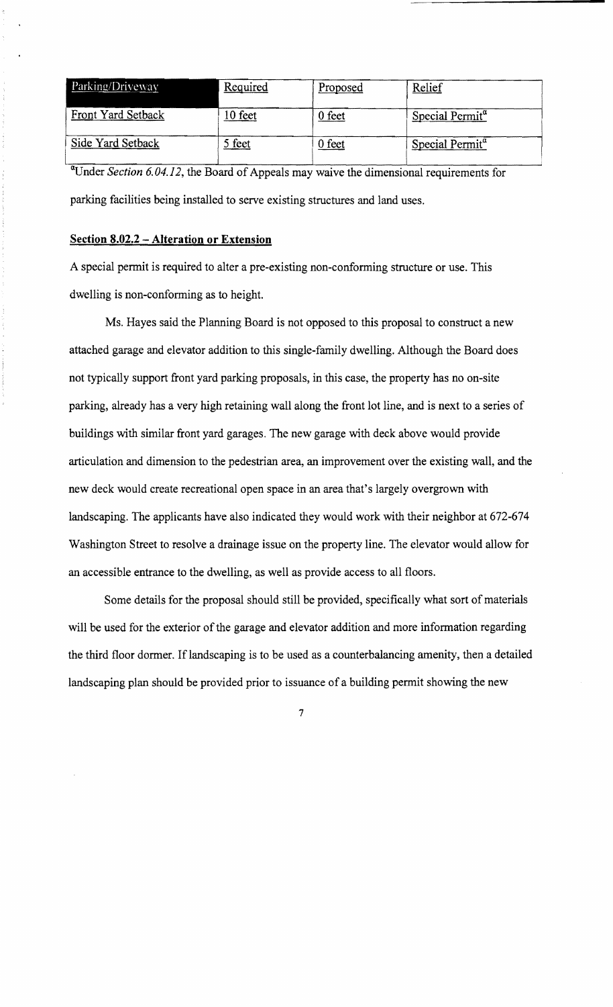| Parking/Driveway          | Required | Proposed | Relief                                        |
|---------------------------|----------|----------|-----------------------------------------------|
| <b>Front Yard Setback</b> | 10 feet  | 0 feet   | Special Permit <sup><math>\alpha</math></sup> |
| Side Yard Setback         | 5 feet   | 0 feet   | Special Permit $\alpha$                       |

<sup>a</sup>Under *Section 6.04.12*, the Board of Appeals may waive the dimensional requirements for parking facilities being installed to serve existing structures and land uses.

#### **Section 8.02.2 - Alteration or Extension**

A special permit is required to alter a pre-existing non-conforming structure or use. This dwelling is non-conforming as to height.

Ms. Hayes said the Planning Board is not opposed to this proposal to construct a new attached garage and elevator addition to this single-family dwelling. Although the Board does not typically support front yard parking proposals, in this case, the property has no on-site parking, already has a very high retaining wall along the front lot line, and is next to a series of buildings with similar front yard garages. The new garage with deck above would provide articulation and dimension to the pedestrian area, an improvement over the existing wall, and the new deck would create recreational open space in an area that's largely overgrown with landscaping. The applicants have also indicated they would work with their neighbor at 672-674 Washington Street to resolve a drainage issue on the property line. The elevator would allow for an accessible entrance to the dwelling, as well as provide access to all floors.

Some details for the proposal should still be provided, specifically what sort of materials will be used for the exterior of the garage and elevator addition and more information regarding the third floor dormer. If landscaping is to be used as a counterbalancing amenity, then a detailed landscaping plan should be provided prior to issuance of a building permit showing the new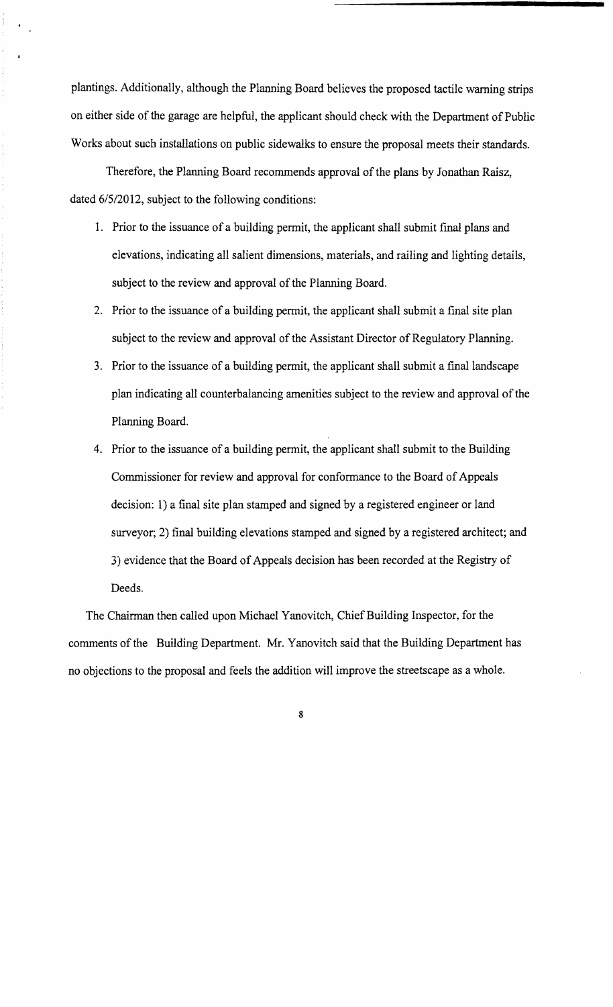plantings. Additionally, although the Planning Board believes the proposed tactile warning strips on either side of the garage are helpful, the applicant should check with the Department of Public Works about such installations on public sidewalks to ensure the proposal meets their standards.

Therefore, the Planning Board recommends approval of the plans by Jonathan Raisz, dated 6/5/2012, subject to the following conditions:

- 1. Prior to the issuance of a building permit, the applicant shall submit final plans and elevations, indicating all salient dimensions, materials, and railing and lighting details, subject to the review and approval of the Planning Board.
- 2. Prior to the issuance of a building permit, the applicant shall submit a final site plan subject to the review and approval of the Assistant Director of Regulatory Planning.
- 3. Prior to the issuance of a building permit, the applicant shall submit a final landscape plan indicating all counterbalancing amenities subject to the review and approval of the Planning Board.
- 4. Prior to the issuance of a building permit, the applicant shall submit to the Building Commissioner for review and approval for conformance to the Board of Appeals decision: 1) a final site plan stamped and signed by a registered engineer or land surveyor; 2) final building elevations stamped and signed by a registered architect; and 3) evidence that the Board of Appeals decision has been recorded at the Registry of Deeds.

The Chairman then called upon Michael Yanovitch, Chief Building Inspector, for the comments of the Building Department. Mr. Yanovitch said that the Building Department has no objections to the proposal and feels the addition will improve the streetscape as a whole.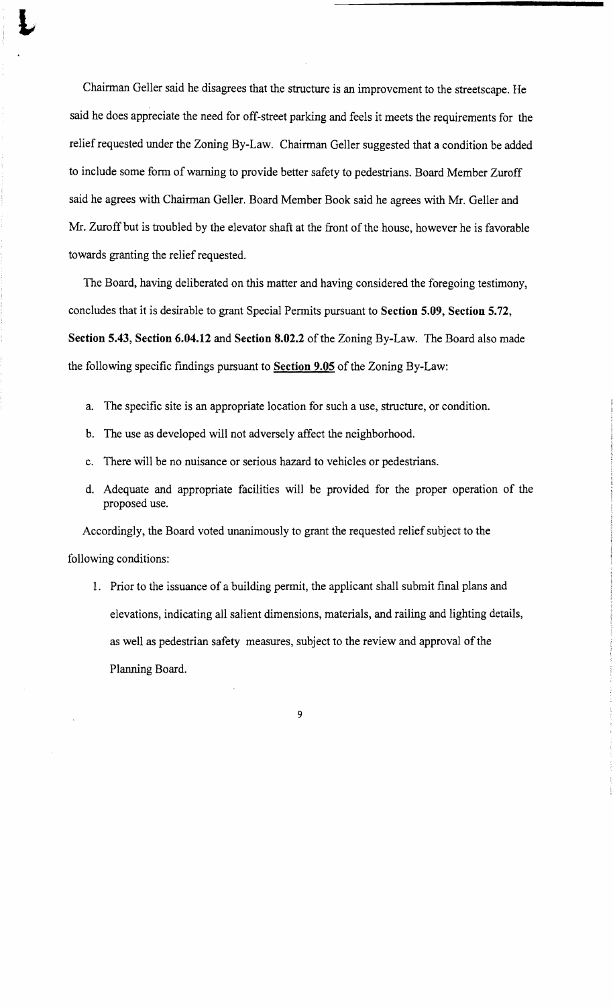Chairman Geller said he disagrees that the structure is an improvement to the streetscape. He said he does appreciate the need for off-street parking and feels it meets the requirements for the relief requested under the Zoning By-Law. Chairman Geller suggested that a condition be added to include some form of warning to provide better safety to pedestrians. Board Member Zuroff said he agrees with Chairman Geller. Board Member Book said he agrees with Mr. Geller and Mr. Zuroff but is troubled by the elevator shaft at the front of the house, however he is favorable towards granting the relief requested.

The Board, having deliberated on this matter and having considered the foregoing testimony, concludes that it is desirable to grant Special Permits pursuant to **Section 5.09, Section 5.72, Section 5.43, Section 6.04.12 and Section 8.02.2** of the Zoning By-Law. The Board also made the following specific findings pursuant to **Section 9.05** of the Zoning By-Law:

- a. The specific site is an appropriate location for such a use, structure, or condition.
- b. The use as developed will not adversely affect the neighborhood.
- c. There will be no nuisance or serious hazard to vehicles or pedestrians.
- d. Adequate and appropriate facilities will be provided for the proper operation of the proposed use.

Accordingly, the Board voted unanimously to grant the requested relief subject to the following conditions:

1. Prior to the issuance of a building permit, the applicant shall submit final plans and elevations, indicating all salient dimensions, materials, and railing and lighting details, as well as pedestrian safety measures, subject to the review and approval of the Planning Board.